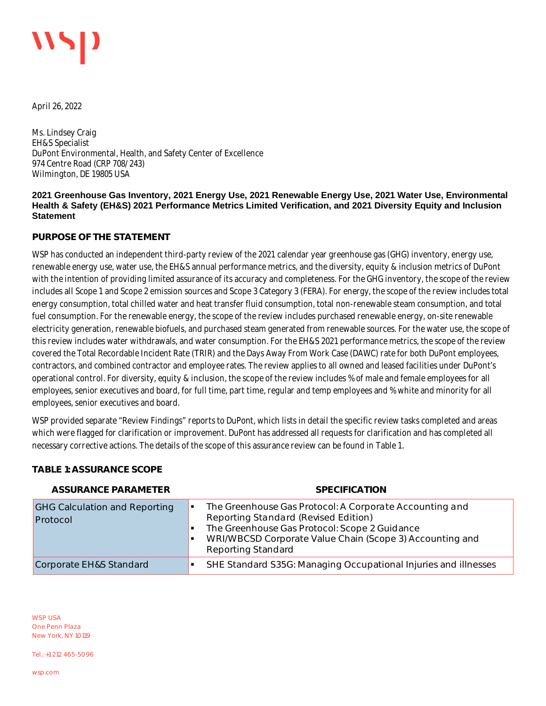April 26, 2022

Ms. Lindsey Craig EH&S Specialist DuPont Environmental, Health, and Safety Center of Excellence 974 Centre Road (CRP 708/243) Wilmington, DE 19805 USA

### **2021 Greenhouse Gas Inventory, 2021 Energy Use, 2021 Renewable Energy Use, 2021 Water Use, Environmental Health & Safety (EH&S) 2021 Performance Metrics Limited Verification, and 2021 Diversity Equity and Inclusion Statement**

## **PURPOSE OF THE STATEMENT**

WSP has conducted an independent third-party review of the 2021 calendar year greenhouse gas (GHG) inventory, energy use, renewable energy use, water use, the EH&S annual performance metrics, and the diversity, equity & inclusion metrics of DuPont with the intention of providing limited assurance of its accuracy and completeness. For the GHG inventory, the scope of the review includes all Scope 1 and Scope 2 emission sources and Scope 3 Category 3 (FERA). For energy, the scope of the review includes total energy consumption, total chilled water and heat transfer fluid consumption, total non-renewable steam consumption, and total fuel consumption. For the renewable energy, the scope of the review includes purchased renewable energy, on-site renewable electricity generation, renewable biofuels, and purchased steam generated from renewable sources. For the water use, the scope of this review includes water withdrawals, and water consumption. For the EH&S 2021 performance metrics, the scope of the review covered the Total Recordable Incident Rate (TRIR) and the Days Away From Work Case (DAWC) rate for both DuPont employees, contractors, and combined contractor and employee rates. The review applies to all owned and leased facilities under DuPont's operational control. For diversity, equity & inclusion, the scope of the review includes % of male and female employees for all employees, senior executives and board, for full time, part time, regular and temp employees and % white and minority for all employees, senior executives and board.

WSP provided separate "Review Findings" reports to DuPont, which lists in detail the specific review tasks completed and areas which were flagged for clarification or improvement. DuPont has addressed all requests for clarification and has completed all necessary corrective actions. The details of the scope of this assurance review can be found in Table 1.

## **TABLE 1: ASSURANCE SCOPE**

| ASSURANCE PARAMETER                              | <b>SPECIFICATION</b>                                                                                                                                                                                                                      |
|--------------------------------------------------|-------------------------------------------------------------------------------------------------------------------------------------------------------------------------------------------------------------------------------------------|
| <b>GHG Calculation and Reporting</b><br>Protocol | The Greenhouse Gas Protocol: A Corporate Accounting and<br>Reporting Standard (Revised Edition)<br>The Greenhouse Gas Protocol: Scope 2 Guidance<br>WRI/WBCSD Corporate Value Chain (Scope 3) Accounting and<br><b>Reporting Standard</b> |
| Corporate EH&S Standard                          | SHE Standard S35G: Managing Occupational Injuries and illnesses                                                                                                                                                                           |

WSP USA One Penn Plaza New York, NY 10119

Tel.: +1 212 465-5096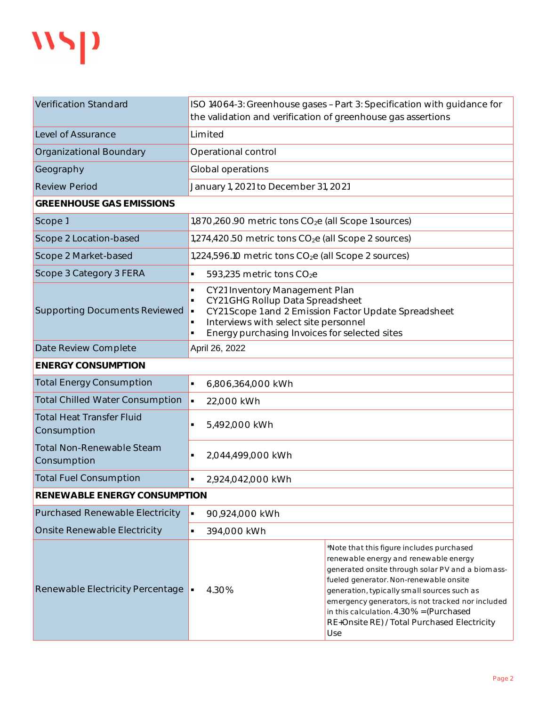

| <b>Verification Standard</b>                    | ISO 14064-3: Greenhouse gases - Part 3: Specification with guidance for<br>the validation and verification of greenhouse gas assertions                                                                                         |                                                                                                                                                                                                                                                                                                                                                                                       |  |  |
|-------------------------------------------------|---------------------------------------------------------------------------------------------------------------------------------------------------------------------------------------------------------------------------------|---------------------------------------------------------------------------------------------------------------------------------------------------------------------------------------------------------------------------------------------------------------------------------------------------------------------------------------------------------------------------------------|--|--|
| Level of Assurance                              | Limited                                                                                                                                                                                                                         |                                                                                                                                                                                                                                                                                                                                                                                       |  |  |
| <b>Organizational Boundary</b>                  | Operational control                                                                                                                                                                                                             |                                                                                                                                                                                                                                                                                                                                                                                       |  |  |
| Geography                                       | Global operations                                                                                                                                                                                                               |                                                                                                                                                                                                                                                                                                                                                                                       |  |  |
| <b>Review Period</b>                            | January 1, 2021 to December 31, 2021                                                                                                                                                                                            |                                                                                                                                                                                                                                                                                                                                                                                       |  |  |
| <b>GREENHOUSE GAS EMISSIONS</b>                 |                                                                                                                                                                                                                                 |                                                                                                                                                                                                                                                                                                                                                                                       |  |  |
| Scope 1                                         | $1,870,260.90$ metric tons $CO2e$ (all Scope 1 sources)                                                                                                                                                                         |                                                                                                                                                                                                                                                                                                                                                                                       |  |  |
| Scope 2 Location-based                          | 1,274,420.50 metric tons CO <sub>2</sub> e (all Scope 2 sources)                                                                                                                                                                |                                                                                                                                                                                                                                                                                                                                                                                       |  |  |
| Scope 2 Market-based                            | $1,224,596.10$ metric tons $CO2e$ (all Scope 2 sources)                                                                                                                                                                         |                                                                                                                                                                                                                                                                                                                                                                                       |  |  |
| Scope 3 Category 3 FERA                         | 593,235 metric tons CO <sub>2</sub> e<br>٠                                                                                                                                                                                      |                                                                                                                                                                                                                                                                                                                                                                                       |  |  |
| <b>Supporting Documents Reviewed</b>            | CY21 Inventory Management Plan<br>٠<br>CY21 GHG Rollup Data Spreadsheet<br>CY21 Scope 1 and 2 Emission Factor Update Spreadsheet<br>٠<br>Interviews with select site personnel<br>Energy purchasing Invoices for selected sites |                                                                                                                                                                                                                                                                                                                                                                                       |  |  |
| Date Review Complete                            | April 26, 2022                                                                                                                                                                                                                  |                                                                                                                                                                                                                                                                                                                                                                                       |  |  |
| <b>ENERGY CONSUMPTION</b>                       |                                                                                                                                                                                                                                 |                                                                                                                                                                                                                                                                                                                                                                                       |  |  |
| <b>Total Energy Consumption</b>                 | $\blacksquare$<br>6,806,364,000 kWh                                                                                                                                                                                             |                                                                                                                                                                                                                                                                                                                                                                                       |  |  |
| <b>Total Chilled Water Consumption</b>          | $\blacksquare$<br>22,000 kWh                                                                                                                                                                                                    |                                                                                                                                                                                                                                                                                                                                                                                       |  |  |
| <b>Total Heat Transfer Fluid</b><br>Consumption | 5,492,000 kWh<br>٠                                                                                                                                                                                                              |                                                                                                                                                                                                                                                                                                                                                                                       |  |  |
| <b>Total Non-Renewable Steam</b><br>Consumption | 2,044,499,000 kWh                                                                                                                                                                                                               |                                                                                                                                                                                                                                                                                                                                                                                       |  |  |
| <b>Total Fuel Consumption</b>                   | 2,924,042,000 kWh<br>$\blacksquare$                                                                                                                                                                                             |                                                                                                                                                                                                                                                                                                                                                                                       |  |  |
| RENEWABLE ENERGY CONSUMPTION                    |                                                                                                                                                                                                                                 |                                                                                                                                                                                                                                                                                                                                                                                       |  |  |
| <b>Purchased Renewable Electricity</b>          | $\blacksquare$<br>90,924,000 kWh                                                                                                                                                                                                |                                                                                                                                                                                                                                                                                                                                                                                       |  |  |
| Onsite Renewable Electricity                    | 394,000 kWh<br>٠                                                                                                                                                                                                                |                                                                                                                                                                                                                                                                                                                                                                                       |  |  |
| Renewable Electricity Percentage                | 4.30%                                                                                                                                                                                                                           | *Note that this figure includes purchased<br>renewable energy and renewable energy<br>generated onsite through solar PV and a biomass-<br>fueled generator. Non-renewable onsite<br>generation, typically small sources such as<br>emergency generators, is not tracked nor included<br>in this calculation. 4.30% = (Purchased<br>RE+Onsite RE) / Total Purchased Electricity<br>Use |  |  |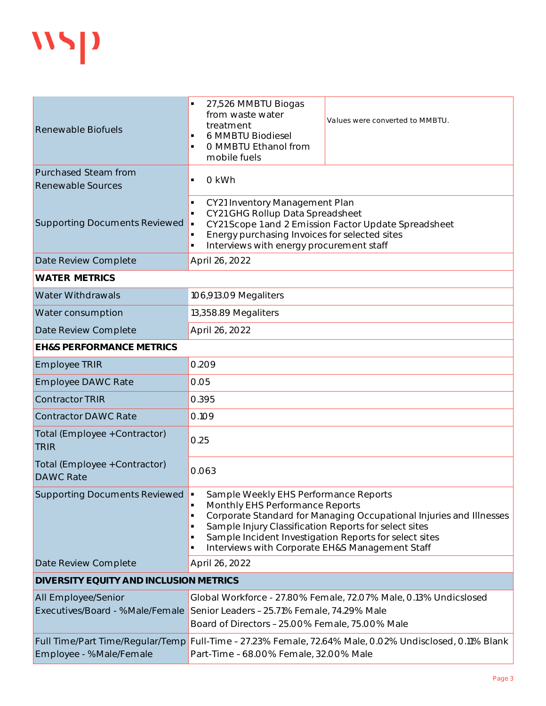

| Renewable Biofuels                                            | 27,526 MMBTU Biogas<br>from waste water<br>treatment<br>6 MMBTU Biodiesel<br>O MMBTU Ethanol from<br>mobile fuels                                                                                                                                                                                                     | Values were converted to MMBTU.                                                                         |  |
|---------------------------------------------------------------|-----------------------------------------------------------------------------------------------------------------------------------------------------------------------------------------------------------------------------------------------------------------------------------------------------------------------|---------------------------------------------------------------------------------------------------------|--|
| <b>Purchased Steam from</b><br><b>Renewable Sources</b>       | 0 kWh<br>$\blacksquare$                                                                                                                                                                                                                                                                                               |                                                                                                         |  |
| <b>Supporting Documents Reviewed</b>                          | CY21 Inventory Management Plan<br>$\blacksquare$<br>CY21 GHG Rollup Data Spreadsheet<br>$\blacksquare$<br>Energy purchasing Invoices for selected sites<br>Interviews with energy procurement staff<br>$\blacksquare$                                                                                                 | CY21 Scope 1 and 2 Emission Factor Update Spreadsheet                                                   |  |
| Date Review Complete                                          | April 26, 2022                                                                                                                                                                                                                                                                                                        |                                                                                                         |  |
| <b>WATER METRICS</b>                                          |                                                                                                                                                                                                                                                                                                                       |                                                                                                         |  |
| <b>Water Withdrawals</b>                                      | 106,913.09 Megaliters                                                                                                                                                                                                                                                                                                 |                                                                                                         |  |
| Water consumption                                             | 13,358.89 Megaliters                                                                                                                                                                                                                                                                                                  |                                                                                                         |  |
| Date Review Complete                                          | April 26, 2022                                                                                                                                                                                                                                                                                                        |                                                                                                         |  |
| <b>EH&amp;S PERFORMANCE METRICS</b>                           |                                                                                                                                                                                                                                                                                                                       |                                                                                                         |  |
| <b>Employee TRIR</b>                                          | 0.209                                                                                                                                                                                                                                                                                                                 |                                                                                                         |  |
| <b>Employee DAWC Rate</b>                                     | 0.05                                                                                                                                                                                                                                                                                                                  |                                                                                                         |  |
| <b>Contractor TRIR</b>                                        | 0.395                                                                                                                                                                                                                                                                                                                 |                                                                                                         |  |
| <b>Contractor DAWC Rate</b>                                   | 0.109                                                                                                                                                                                                                                                                                                                 |                                                                                                         |  |
| Total (Employee + Contractor)<br><b>TRIR</b>                  | 0.25                                                                                                                                                                                                                                                                                                                  |                                                                                                         |  |
| Total (Employee + Contractor)<br><b>DAWC Rate</b>             | 0.063                                                                                                                                                                                                                                                                                                                 |                                                                                                         |  |
| Supporting Documents Reviewed                                 | Sample Weekly EHS Performance Reports<br>Monthly EHS Performance Reports<br>Corporate Standard for Managing Occupational Injuries and Illnesses<br>Sample Injury Classification Reports for select sites<br>Sample Incident Investigation Reports for select sites<br>Interviews with Corporate EH&S Management Staff |                                                                                                         |  |
| Date Review Complete                                          | April 26, 2022                                                                                                                                                                                                                                                                                                        |                                                                                                         |  |
| DIVERSITY EQUITY AND INCLUSION METRICS                        |                                                                                                                                                                                                                                                                                                                       |                                                                                                         |  |
| <b>All Employee/Senior</b><br>Executives/Board - %Male/Female | Senior Leaders - 25.71% Female, 74.29% Male<br>Board of Directors - 25.00% Female, 75.00% Male                                                                                                                                                                                                                        | Global Workforce - 27.80% Female, 72.07% Male, 0.13% Undicslosed                                        |  |
| Employee - %Male/Female                                       | Part-Time - 68.00% Female, 32.00% Male                                                                                                                                                                                                                                                                                | Full Time/Part Time/Regular/Temp Full-Time - 27.23% Female, 72.64% Male, 0.02% Undisclosed, 0.11% Blank |  |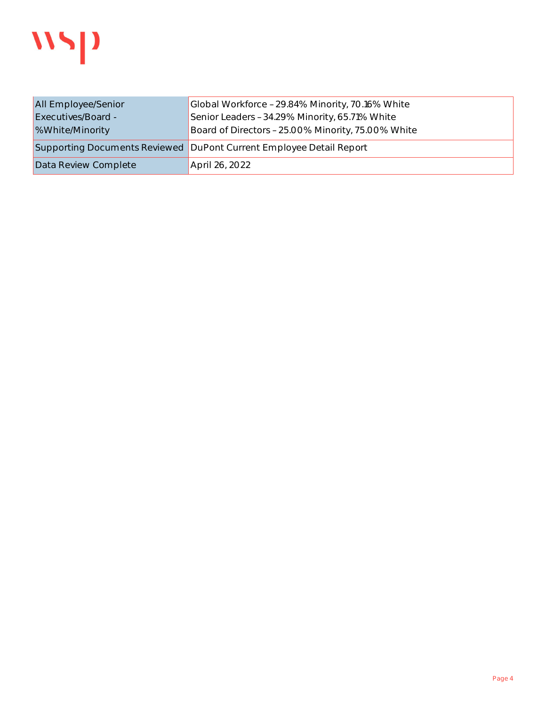

| All Employee/Senior       | Global Workforce - 29.84% Minority, 70.16% White                    |
|---------------------------|---------------------------------------------------------------------|
| <b>Executives/Board -</b> | Senior Leaders - 34.29% Minority, 65.71% White                      |
| <b>%White/Minority</b>    | Board of Directors - 25.00% Minority, 75.00% White                  |
|                           | Supporting Documents Reviewed DuPont Current Employee Detail Report |
| Data Review Complete      | April 26, 2022                                                      |